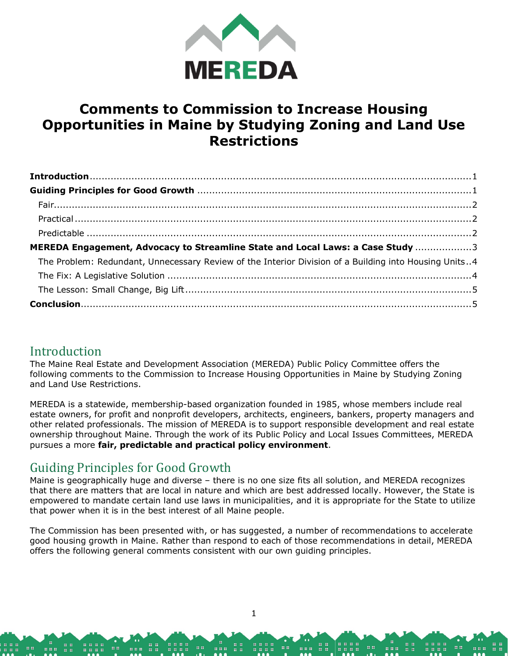

# **Comments to Commission to Increase Housing Opportunities in Maine by Studying Zoning and Land Use Restrictions**

| MEREDA Engagement, Advocacy to Streamline State and Local Laws: a Case Study 3                        |  |
|-------------------------------------------------------------------------------------------------------|--|
| The Problem: Redundant, Unnecessary Review of the Interior Division of a Building into Housing Units4 |  |
|                                                                                                       |  |
|                                                                                                       |  |
|                                                                                                       |  |

## <span id="page-0-0"></span>**Introduction**

The Maine Real Estate and Development Association (MEREDA) Public Policy Committee offers the following comments to the Commission to Increase Housing Opportunities in Maine by Studying Zoning and Land Use Restrictions.

MEREDA is a statewide, membership-based organization founded in 1985, whose members include real estate owners, for profit and nonprofit developers, architects, engineers, bankers, property managers and other related professionals. The mission of MEREDA is to support responsible development and real estate ownership throughout Maine. Through the work of its Public Policy and Local Issues Committees, MEREDA pursues a more **fair, predictable and practical policy environment**.

## <span id="page-0-1"></span>Guiding Principles for Good Growth

Maine is geographically huge and diverse – there is no one size fits all solution, and MEREDA recognizes that there are matters that are local in nature and which are best addressed locally. However, the State is empowered to mandate certain land use laws in municipalities, and it is appropriate for the State to utilize that power when it is in the best interest of all Maine people.

The Commission has been presented with, or has suggested, a number of recommendations to accelerate good housing growth in Maine. Rather than respond to each of those recommendations in detail, MEREDA offers the following general comments consistent with our own guiding principles.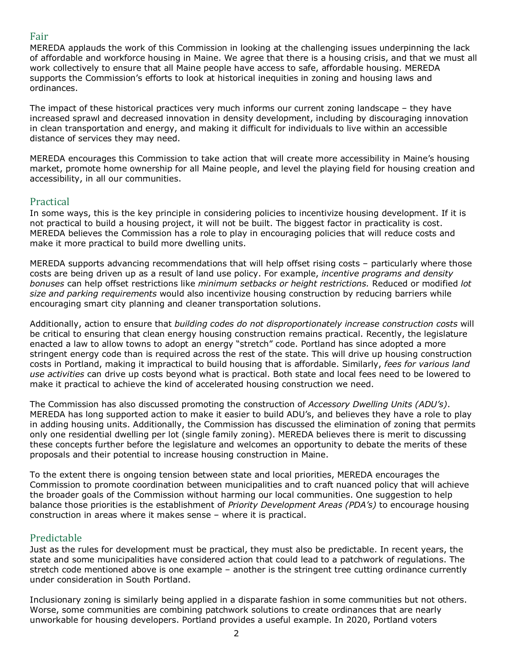### <span id="page-1-0"></span>Fair

MEREDA applauds the work of this Commission in looking at the challenging issues underpinning the lack of affordable and workforce housing in Maine. We agree that there is a housing crisis, and that we must all work collectively to ensure that all Maine people have access to safe, affordable housing. MEREDA supports the Commission's efforts to look at historical inequities in zoning and housing laws and ordinances.

The impact of these historical practices very much informs our current zoning landscape – they have increased sprawl and decreased innovation in density development, including by discouraging innovation in clean transportation and energy, and making it difficult for individuals to live within an accessible distance of services they may need.

MEREDA encourages this Commission to take action that will create more accessibility in Maine's housing market, promote home ownership for all Maine people, and level the playing field for housing creation and accessibility, in all our communities.

### <span id="page-1-1"></span>Practical

In some ways, this is the key principle in considering policies to incentivize housing development. If it is not practical to build a housing project, it will not be built. The biggest factor in practicality is cost. MEREDA believes the Commission has a role to play in encouraging policies that will reduce costs and make it more practical to build more dwelling units.

MEREDA supports advancing recommendations that will help offset rising costs – particularly where those costs are being driven up as a result of land use policy. For example, *incentive programs and density bonuses* can help offset restrictions like *minimum setbacks or height restrictions.* Reduced or modified *lot size and parking requirements* would also incentivize housing construction by reducing barriers while encouraging smart city planning and cleaner transportation solutions.

Additionally, action to ensure that *building codes do not disproportionately increase construction costs* will be critical to ensuring that clean energy housing construction remains practical. Recently, the legislature enacted a law to allow towns to adopt an energy "stretch" code. Portland has since adopted a more stringent energy code than is required across the rest of the state. This will drive up housing construction costs in Portland, making it impractical to build housing that is affordable. Similarly, *fees for various land use activities* can drive up costs beyond what is practical. Both state and local fees need to be lowered to make it practical to achieve the kind of accelerated housing construction we need.

The Commission has also discussed promoting the construction of *Accessory Dwelling Units (ADU's)*. MEREDA has long supported action to make it easier to build ADU's, and believes they have a role to play in adding housing units. Additionally, the Commission has discussed the elimination of zoning that permits only one residential dwelling per lot (single family zoning). MEREDA believes there is merit to discussing these concepts further before the legislature and welcomes an opportunity to debate the merits of these proposals and their potential to increase housing construction in Maine.

To the extent there is ongoing tension between state and local priorities, MEREDA encourages the Commission to promote coordination between municipalities and to craft nuanced policy that will achieve the broader goals of the Commission without harming our local communities. One suggestion to help balance those priorities is the establishment of *Priority Development Areas (PDA's)* to encourage housing construction in areas where it makes sense – where it is practical.

### <span id="page-1-2"></span>Predictable

Just as the rules for development must be practical, they must also be predictable. In recent years, the state and some municipalities have considered action that could lead to a patchwork of regulations. The stretch code mentioned above is one example – another is the stringent tree cutting ordinance currently under consideration in South Portland.

Inclusionary zoning is similarly being applied in a disparate fashion in some communities but not others. Worse, some communities are combining patchwork solutions to create ordinances that are nearly unworkable for housing developers. Portland provides a useful example. In 2020, Portland voters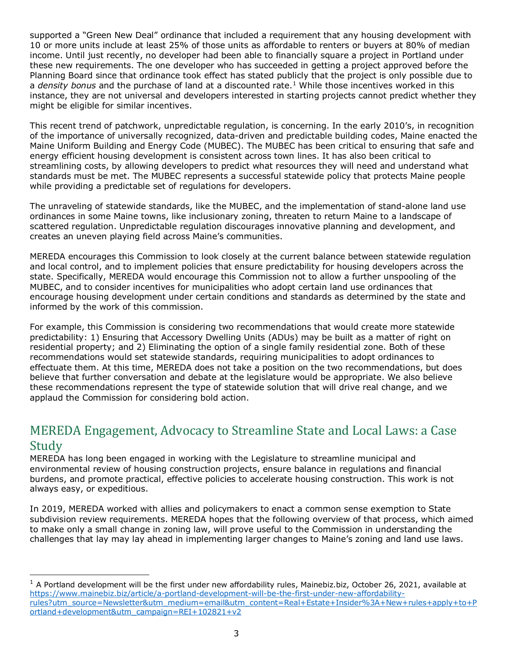supported a "Green New Deal" ordinance that included a requirement that any housing development with 10 or more units include at least 25% of those units as affordable to renters or buyers at 80% of median income. Until just recently, no developer had been able to financially square a project in Portland under these new requirements. The one developer who has succeeded in getting a project approved before the Planning Board since that ordinance took effect has stated publicly that the project is only possible due to a *density bonus* and the purchase of land at a discounted rate.<sup>[1](#page-2-1)</sup> While those incentives worked in this instance, they are not universal and developers interested in starting projects cannot predict whether they might be eligible for similar incentives.

This recent trend of patchwork, unpredictable regulation, is concerning. In the early 2010's, in recognition of the importance of universally recognized, data-driven and predictable building codes, Maine enacted the Maine Uniform Building and Energy Code (MUBEC). The MUBEC has been critical to ensuring that safe and energy efficient housing development is consistent across town lines. It has also been critical to streamlining costs, by allowing developers to predict what resources they will need and understand what standards must be met. The MUBEC represents a successful statewide policy that protects Maine people while providing a predictable set of regulations for developers.

The unraveling of statewide standards, like the MUBEC, and the implementation of stand-alone land use ordinances in some Maine towns, like inclusionary zoning, threaten to return Maine to a landscape of scattered regulation. Unpredictable regulation discourages innovative planning and development, and creates an uneven playing field across Maine's communities.

MEREDA encourages this Commission to look closely at the current balance between statewide regulation and local control, and to implement policies that ensure predictability for housing developers across the state. Specifically, MEREDA would encourage this Commission not to allow a further unspooling of the MUBEC, and to consider incentives for municipalities who adopt certain land use ordinances that encourage housing development under certain conditions and standards as determined by the state and informed by the work of this commission.

For example, this Commission is considering two recommendations that would create more statewide predictability: 1) Ensuring that Accessory Dwelling Units (ADUs) may be built as a matter of right on residential property; and 2) Eliminating the option of a single family residential zone. Both of these recommendations would set statewide standards, requiring municipalities to adopt ordinances to effectuate them. At this time, MEREDA does not take a position on the two recommendations, but does believe that further conversation and debate at the legislature would be appropriate. We also believe these recommendations represent the type of statewide solution that will drive real change, and we applaud the Commission for considering bold action.

## <span id="page-2-0"></span>MEREDA Engagement, Advocacy to Streamline State and Local Laws: a Case Study

MEREDA has long been engaged in working with the Legislature to streamline municipal and environmental review of housing construction projects, ensure balance in regulations and financial burdens, and promote practical, effective policies to accelerate housing construction. This work is not always easy, or expeditious.

In 2019, MEREDA worked with allies and policymakers to enact a common sense exemption to State subdivision review requirements. MEREDA hopes that the following overview of that process, which aimed to make only a small change in zoning law, will prove useful to the Commission in understanding the challenges that lay may lay ahead in implementing larger changes to Maine's zoning and land use laws.

i,

<span id="page-2-1"></span> $1$  A Portland development will be the first under new affordability rules, Mainebiz.biz, October 26, 2021, available at [https://www.mainebiz.biz/article/a-portland-development-will-be-the-first-under-new-affordability](https://www.mainebiz.biz/article/a-portland-development-will-be-the-first-under-new-affordability-rules?utm_source=Newsletter&utm_medium=email&utm_content=Real+Estate+Insider%3A+New+rules+apply+to+Portland+development&utm_campaign=REI+102821+v2)[rules?utm\\_source=Newsletter&utm\\_medium=email&utm\\_content=Real+Estate+Insider%3A+New+rules+apply+to+P](https://www.mainebiz.biz/article/a-portland-development-will-be-the-first-under-new-affordability-rules?utm_source=Newsletter&utm_medium=email&utm_content=Real+Estate+Insider%3A+New+rules+apply+to+Portland+development&utm_campaign=REI+102821+v2) [ortland+development&utm\\_campaign=REI+102821+v2](https://www.mainebiz.biz/article/a-portland-development-will-be-the-first-under-new-affordability-rules?utm_source=Newsletter&utm_medium=email&utm_content=Real+Estate+Insider%3A+New+rules+apply+to+Portland+development&utm_campaign=REI+102821+v2)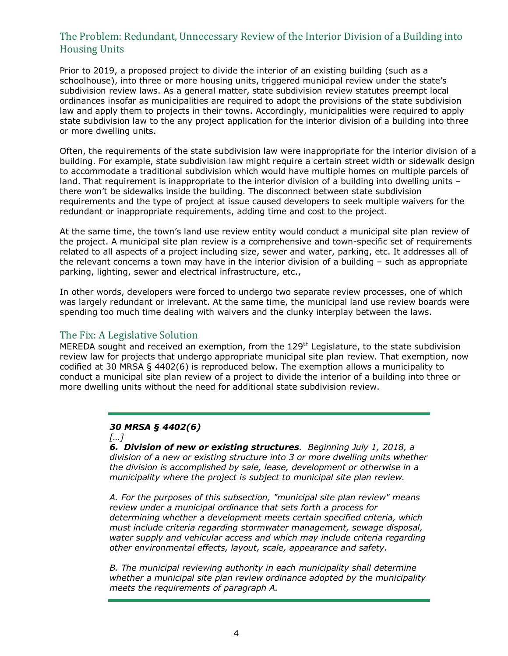### <span id="page-3-0"></span>The Problem: Redundant, Unnecessary Review of the Interior Division of a Building into Housing Units

Prior to 2019, a proposed project to divide the interior of an existing building (such as a schoolhouse), into three or more housing units, triggered municipal review under the state's subdivision review laws. As a general matter, state subdivision review statutes preempt local ordinances insofar as municipalities are required to adopt the provisions of the state subdivision law and apply them to projects in their towns. Accordingly, municipalities were required to apply state subdivision law to the any project application for the interior division of a building into three or more dwelling units.

Often, the requirements of the state subdivision law were inappropriate for the interior division of a building. For example, state subdivision law might require a certain street width or sidewalk design to accommodate a traditional subdivision which would have multiple homes on multiple parcels of land. That requirement is inappropriate to the interior division of a building into dwelling units – there won't be sidewalks inside the building. The disconnect between state subdivision requirements and the type of project at issue caused developers to seek multiple waivers for the redundant or inappropriate requirements, adding time and cost to the project.

At the same time, the town's land use review entity would conduct a municipal site plan review of the project. A municipal site plan review is a comprehensive and town-specific set of requirements related to all aspects of a project including size, sewer and water, parking, etc. It addresses all of the relevant concerns a town may have in the interior division of a building – such as appropriate parking, lighting, sewer and electrical infrastructure, etc.,

In other words, developers were forced to undergo two separate review processes, one of which was largely redundant or irrelevant. At the same time, the municipal land use review boards were spending too much time dealing with waivers and the clunky interplay between the laws.

### <span id="page-3-1"></span>The Fix: A Legislative Solution

MEREDA sought and received an exemption, from the 129<sup>th</sup> Legislature, to the state subdivision review law for projects that undergo appropriate municipal site plan review. That exemption, now codified at 30 MRSA § 4402(6) is reproduced below. The exemption allows a municipality to conduct a municipal site plan review of a project to divide the interior of a building into three or more dwelling units without the need for additional state subdivision review.

### *30 MRSA § 4402(6)*



*6. Division of new or existing structures. Beginning July 1, 2018, a division of a new or existing structure into 3 or more dwelling units whether the division is accomplished by sale, lease, development or otherwise in a municipality where the project is subject to municipal site plan review.* 

*A. For the purposes of this subsection, "municipal site plan review" means review under a municipal ordinance that sets forth a process for determining whether a development meets certain specified criteria, which must include criteria regarding stormwater management, sewage disposal, water supply and vehicular access and which may include criteria regarding other environmental effects, layout, scale, appearance and safety.* 

*B. The municipal reviewing authority in each municipality shall determine whether a municipal site plan review ordinance adopted by the municipality meets the requirements of paragraph A.*